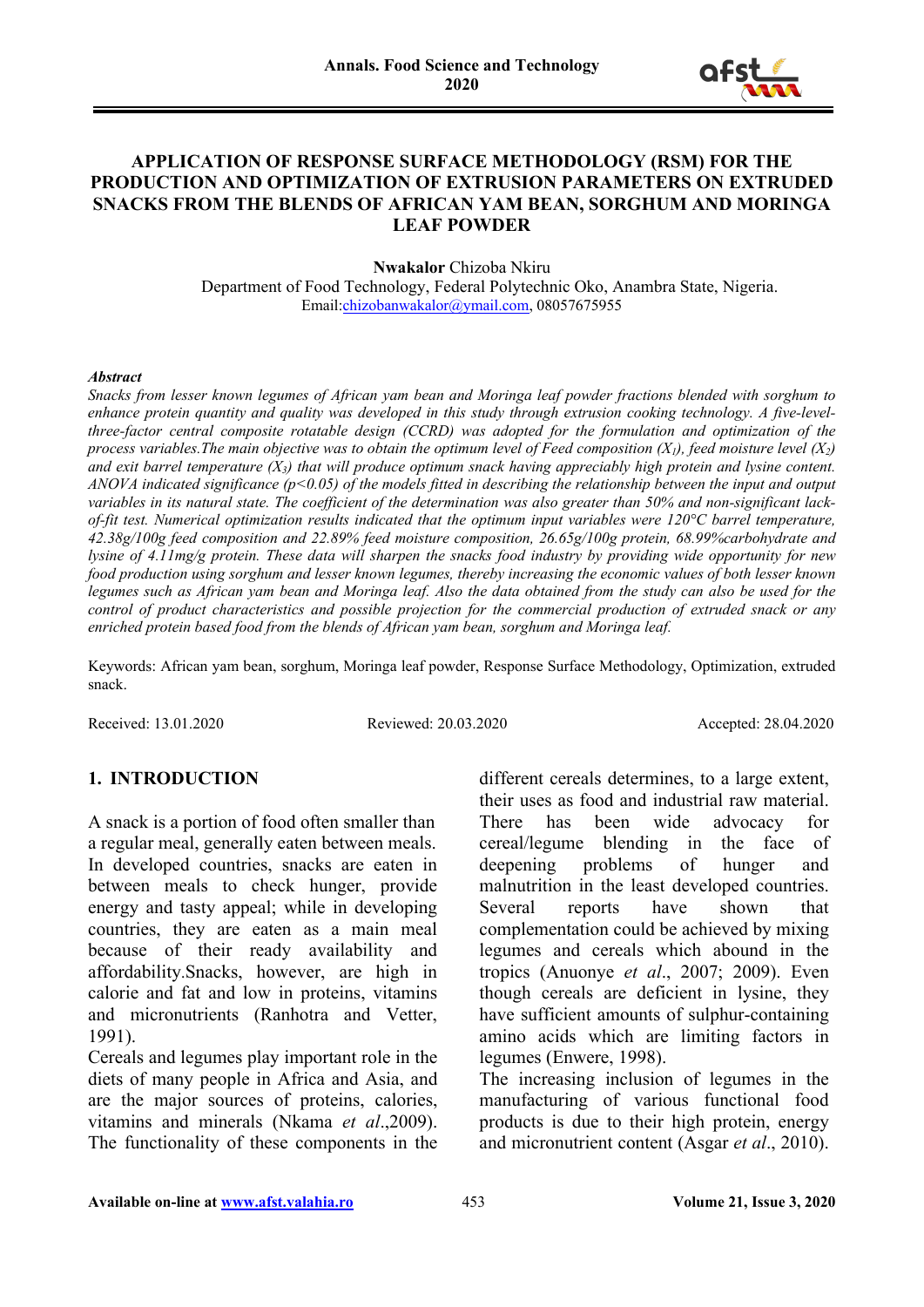

#### **APPLICATION OF RESPONSE SURFACE METHODOLOGY (RSM) FOR THE PRODUCTION AND OPTIMIZATION OF EXTRUSION PARAMETERS ON EXTRUDED SNACKS FROM THE BLENDS OF AFRICAN YAM BEAN, SORGHUM AND MORINGA LEAF POWDER**

**Nwakalor** Chizoba Nkiru

Department of Food Technology, Federal Polytechnic Oko, Anambra State, Nigeria. Email[:chizobanwakalor@ymail.com,](mailto:chizobanwakalor@ymail.com) 08057675955

#### *Abstract*

*Snacks from lesser known legumes of African yam bean and Moringa leaf powder fractions blended with sorghum to enhance protein quantity and quality was developed in this study through extrusion cooking technology. A five-levelthree-factor central composite rotatable design (CCRD) was adopted for the formulation and optimization of the process variables.The main objective was to obtain the optimum level of Feed composition (X1), feed moisture level (X2) and exit barrel temperature (X3) that will produce optimum snack having appreciably high protein and lysine content. ANOVA indicated significance (p˂0.05) of the models fitted in describing the relationship between the input and output variables in its natural state. The coefficient of the determination was also greater than 50% and non-significant lackof-fit test. Numerical optimization results indicated that the optimum input variables were 120°C barrel temperature, 42.38g/100g feed composition and 22.89% feed moisture composition, 26.65g/100g protein, 68.99%carbohydrate and lysine of 4.11mg/g protein. These data will sharpen the snacks food industry by providing wide opportunity for new food production using sorghum and lesser known legumes, thereby increasing the economic values of both lesser known legumes such as African yam bean and Moringa leaf. Also the data obtained from the study can also be used for the control of product characteristics and possible projection for the commercial production of extruded snack or any enriched protein based food from the blends of African yam bean, sorghum and Moringa leaf.*

Keywords: African yam bean, sorghum, Moringa leaf powder, Response Surface Methodology, Optimization, extruded snack.

Received: 13.01.2020 Reviewed: 20.03.2020 Accepted: 28.04.2020

# **1. INTRODUCTION**

A snack is a portion of food often smaller than a regular meal, generally eaten between meals. In developed countries, snacks are eaten in between meals to check hunger, provide energy and tasty appeal; while in developing countries, they are eaten as a main meal because of their ready availability and affordability.Snacks, however, are high in calorie and fat and low in proteins, vitamins and micronutrients (Ranhotra and Vetter, 1991).

Cereals and legumes play important role in the diets of many people in Africa and Asia, and are the major sources of proteins, calories, vitamins and minerals (Nkama *et al*.,2009). The functionality of these components in the different cereals determines, to a large extent, their uses as food and industrial raw material. There has been wide advocacy for cereal/legume blending in the face of deepening problems of hunger and malnutrition in the least developed countries. Several reports have shown that complementation could be achieved by mixing legumes and cereals which abound in the tropics (Anuonye *et al*., 2007; 2009). Even though cereals are deficient in lysine, they have sufficient amounts of sulphur-containing amino acids which are limiting factors in legumes (Enwere, 1998).

The increasing inclusion of legumes in the manufacturing of various functional food products is due to their high protein, energy and micronutrient content (Asgar *et al*., 2010).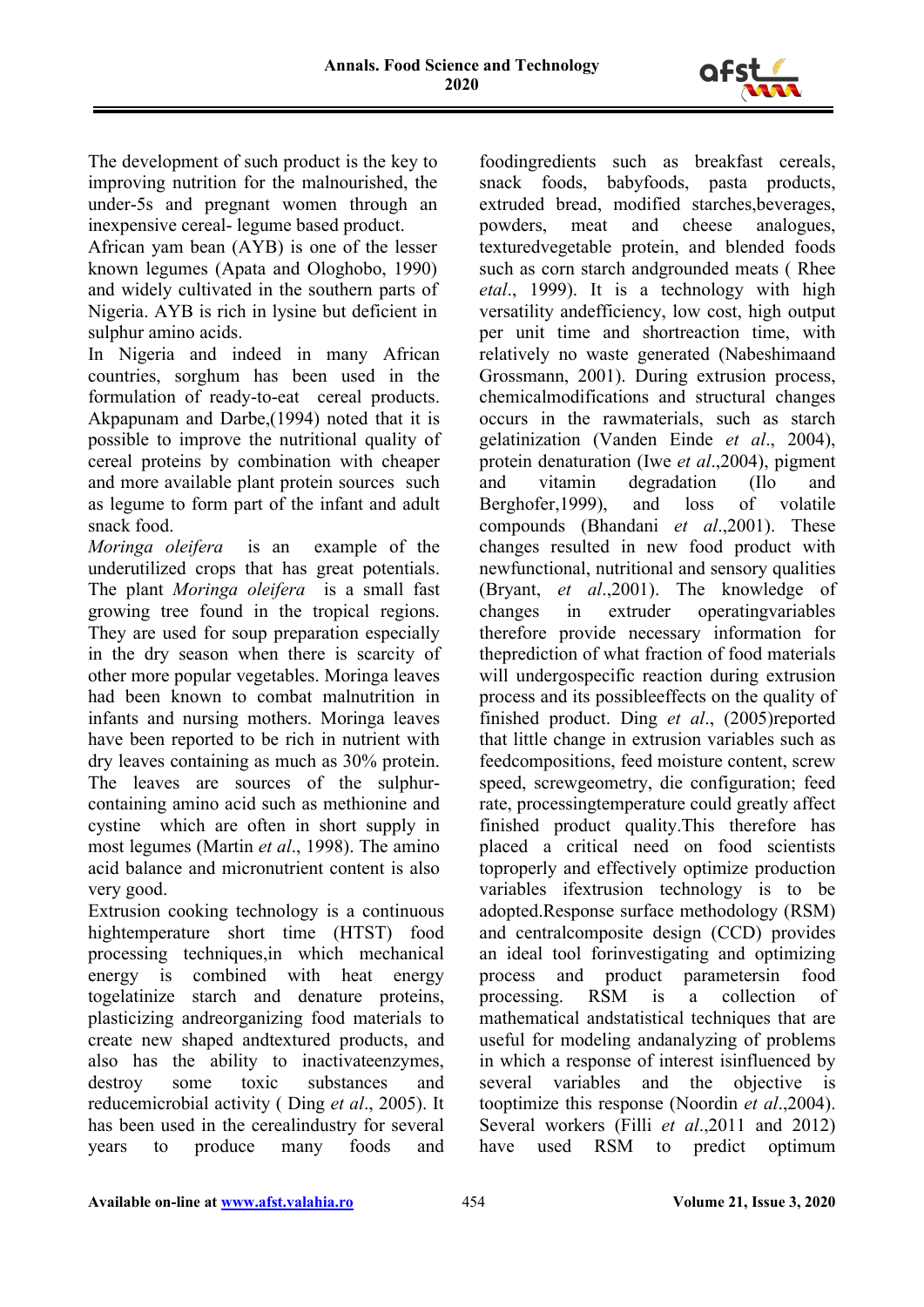

The development of such product is the key to improving nutrition for the malnourished, the under-5s and pregnant women through an inexpensive cereal- legume based product.

African yam bean (AYB) is one of the lesser known legumes (Apata and Ologhobo, 1990) and widely cultivated in the southern parts of Nigeria. AYB is rich in lysine but deficient in sulphur amino acids.

In Nigeria and indeed in many African countries, sorghum has been used in the formulation of ready-to-eat cereal products. Akpapunam and Darbe,(1994) noted that it is possible to improve the nutritional quality of cereal proteins by combination with cheaper and more available plant protein sources such as legume to form part of the infant and adult snack food.

*Moringa oleifera* is an example of the underutilized crops that has great potentials. The plant *Moringa oleifera* is a small fast growing tree found in the tropical regions. They are used for soup preparation especially in the dry season when there is scarcity of other more popular vegetables. Moringa leaves had been known to combat malnutrition in infants and nursing mothers. Moringa leaves have been reported to be rich in nutrient with dry leaves containing as much as 30% protein. The leaves are sources of the sulphurcontaining amino acid such as methionine and cystine which are often in short supply in most legumes (Martin *et al*., 1998). The amino acid balance and micronutrient content is also very good.

Extrusion cooking technology is a continuous hightemperature short time (HTST) food processing techniques,in which mechanical energy is combined with heat energy togelatinize starch and denature proteins, plasticizing andreorganizing food materials to create new shaped andtextured products, and also has the ability to inactivateenzymes, destroy some toxic substances and reducemicrobial activity ( Ding *et al*., 2005). It has been used in the cerealindustry for several years to produce many foods and

foodingredients such as breakfast cereals, snack foods, babyfoods, pasta products, extruded bread, modified starches,beverages, powders, meat and cheese analogues, texturedvegetable protein, and blended foods such as corn starch andgrounded meats ( Rhee *etal*., 1999). It is a technology with high versatility andefficiency, low cost, high output per unit time and shortreaction time, with relatively no waste generated (Nabeshimaand Grossmann, 2001). During extrusion process, chemicalmodifications and structural changes occurs in the rawmaterials, such as starch gelatinization (Vanden Einde *et al*., 2004), protein denaturation (Iwe *et al*.,2004), pigment and vitamin degradation (Ilo and Berghofer,1999), and loss of volatile compounds (Bhandani *et al*.,2001). These changes resulted in new food product with newfunctional, nutritional and sensory qualities (Bryant, *et al*.,2001). The knowledge of changes in extruder operatingvariables therefore provide necessary information for theprediction of what fraction of food materials will undergospecific reaction during extrusion process and its possibleeffects on the quality of finished product. Ding *et al*., (2005)reported that little change in extrusion variables such as feedcompositions, feed moisture content, screw speed, screwgeometry, die configuration; feed rate, processingtemperature could greatly affect finished product quality.This therefore has placed a critical need on food scientists toproperly and effectively optimize production variables ifextrusion technology is to be adopted.Response surface methodology (RSM) and centralcomposite design (CCD) provides an ideal tool forinvestigating and optimizing process and product parametersin food processing. RSM is a collection of mathematical andstatistical techniques that are useful for modeling andanalyzing of problems in which a response of interest isinfluenced by several variables and the objective is tooptimize this response (Noordin *et al*.,2004). Several workers (Filli *et al*.,2011 and 2012) have used RSM to predict optimum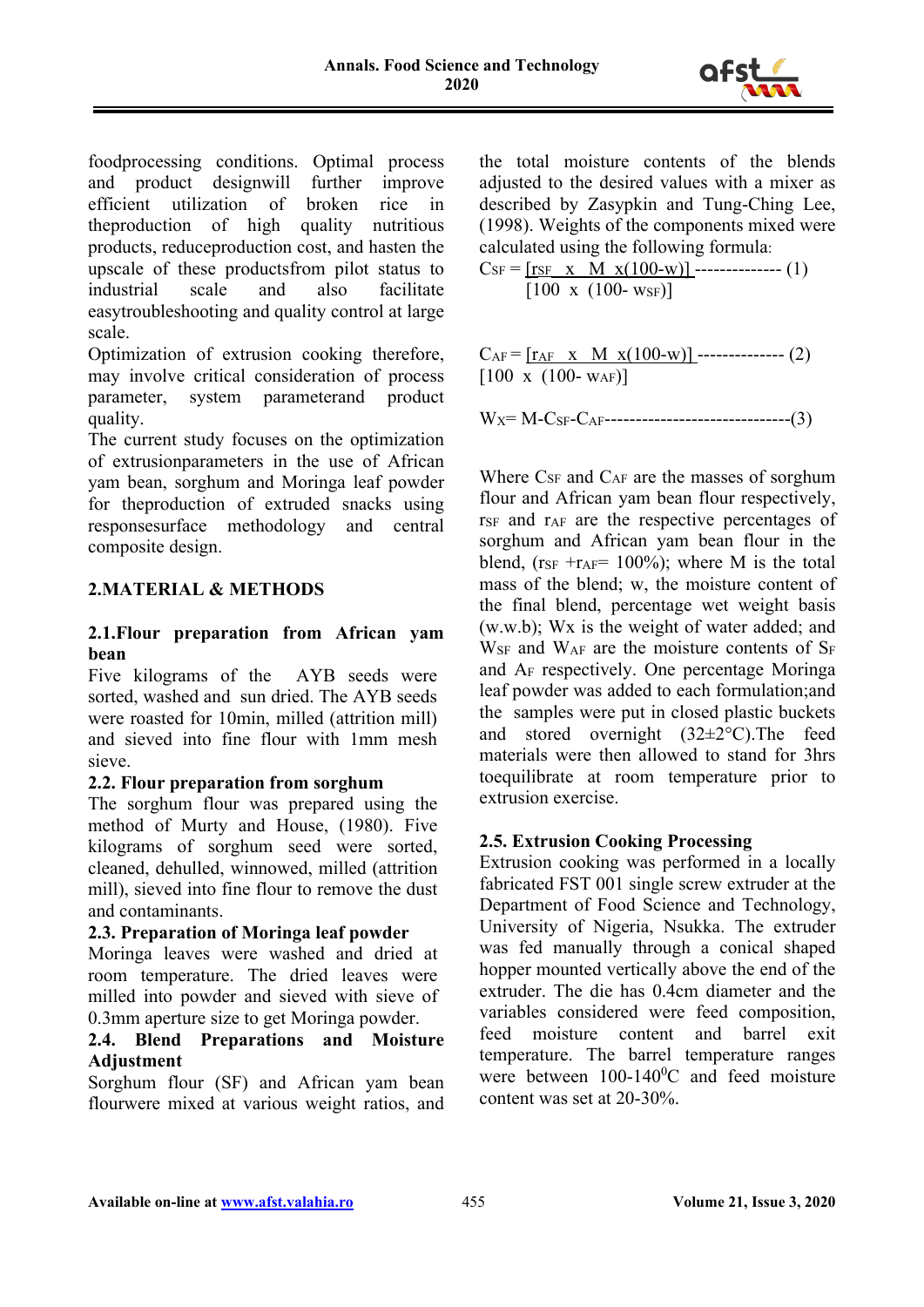

foodprocessing conditions. Optimal process and product designwill further improve efficient utilization of broken rice in theproduction of high quality nutritious products, reduceproduction cost, and hasten the upscale of these productsfrom pilot status to industrial scale and also facilitate easytroubleshooting and quality control at large scale.

Optimization of extrusion cooking therefore, may involve critical consideration of process parameter, system parameterand product quality.

The current study focuses on the optimization of extrusionparameters in the use of African yam bean, sorghum and Moringa leaf powder for theproduction of extruded snacks using responsesurface methodology and central composite design.

# **2.MATERIAL & METHODS**

#### **2.1.Flour preparation from African yam bean**

Five kilograms of the AYB seeds were sorted, washed and sun dried. The AYB seeds were roasted for 10min, milled (attrition mill) and sieved into fine flour with 1mm mesh sieve.

# **2.2. Flour preparation from sorghum**

The sorghum flour was prepared using the method of Murty and House, (1980). Five kilograms of sorghum seed were sorted, cleaned, dehulled, winnowed, milled (attrition mill), sieved into fine flour to remove the dust and contaminants.

# **2.3. Preparation of Moringa leaf powder**

Moringa leaves were washed and dried at room temperature. The dried leaves were milled into powder and sieved with sieve of 0.3mm aperture size to get Moringa powder.

#### **2.4. Blend Preparations and Moisture Adjustment**

Sorghum flour (SF) and African yam bean flourwere mixed at various weight ratios, and

the total moisture contents of the blends adjusted to the desired values with a mixer as described by Zasypkin and Tung-Ching Lee, (1998). Weights of the components mixed were calculated using the following formula:

$$
C_{SF} = \underbrace{[\text{r}_{SF} \times M \times (100-w)]}_{[100 \times (100 - \text{w}_{SF})]}
$$
 (1)

 $C_{AF} = [r_{AF} \times M \times (100-w)]$  -------------- (2)  $[100 \times (100 - w_{AF})]$ 

$$
W_X = M - C_{SF} - C_{AF}
$$

Where C<sub>SF</sub> and C<sub>AF</sub> are the masses of sorghum flour and African yam bean flour respectively,  $r_{SF}$  and  $r_{AF}$  are the respective percentages of sorghum and African yam bean flour in the blend, ( $r_{SF}$  + $r_{AF}$ = 100%); where M is the total mass of the blend; w, the moisture content of the final blend, percentage wet weight basis (w.w.b); Wx is the weight of water added; and  $W_{SF}$  and  $W_{AF}$  are the moisture contents of  $S_F$ and AF respectively. One percentage Moringa leaf powder was added to each formulation;and the samples were put in closed plastic buckets and stored overnight (32±2°C).The feed materials were then allowed to stand for 3hrs toequilibrate at room temperature prior to extrusion exercise.

# **2.5. Extrusion Cooking Processing**

Extrusion cooking was performed in a locally fabricated FST 001 single screw extruder at the Department of Food Science and Technology, University of Nigeria, Nsukka. The extruder was fed manually through a conical shaped hopper mounted vertically above the end of the extruder. The die has 0.4cm diameter and the variables considered were feed composition, feed moisture content and barrel exit temperature. The barrel temperature ranges were between  $100-140$ <sup>o</sup>C and feed moisture content was set at 20-30%.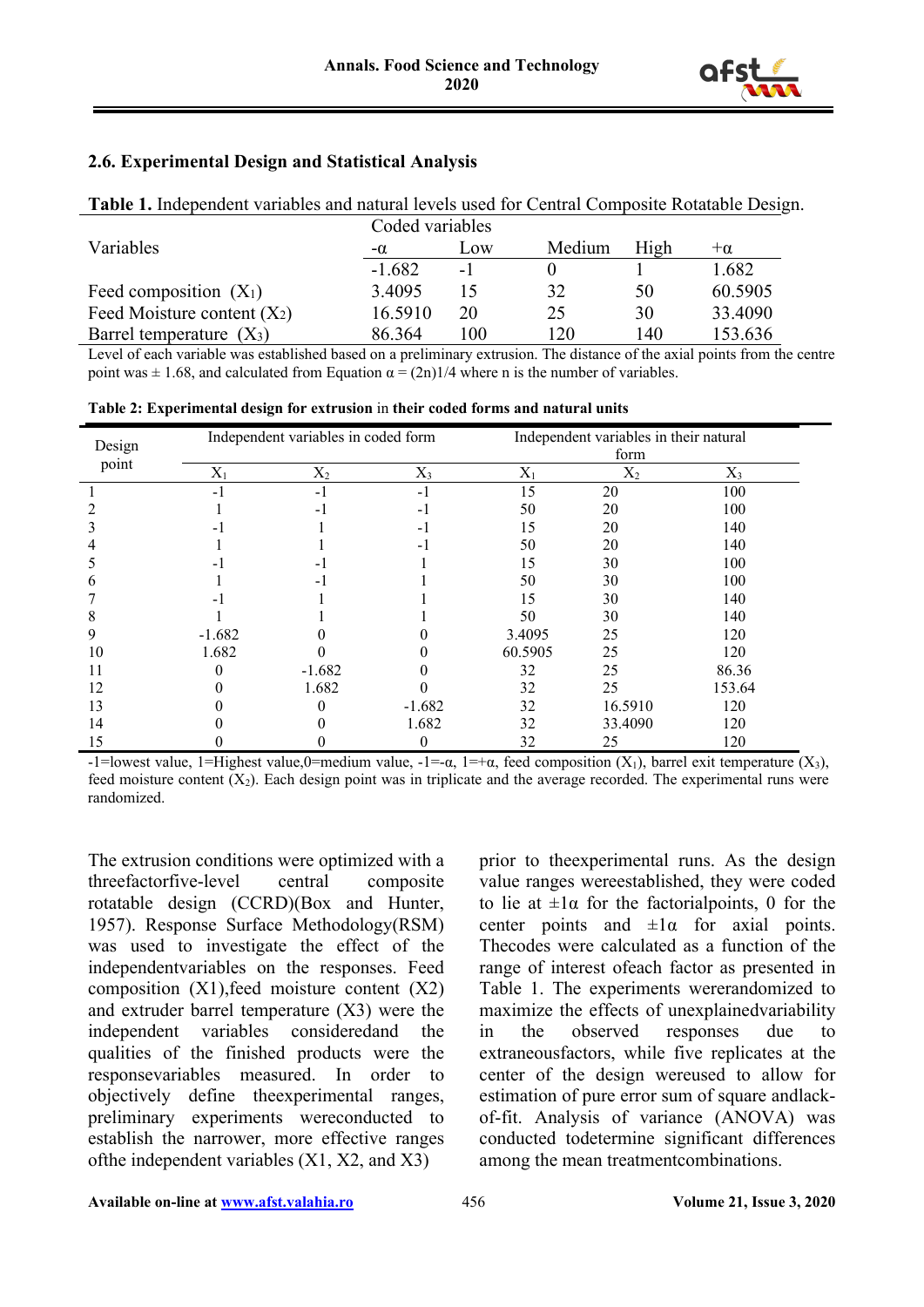

#### **2.6. Experimental Design and Statistical Analysis**

| Table 1. Independent variables and natural levels used for Central Composite Rotatable Design. |           |      |        |      |           |  |  |  |  |
|------------------------------------------------------------------------------------------------|-----------|------|--------|------|-----------|--|--|--|--|
| Coded variables                                                                                |           |      |        |      |           |  |  |  |  |
| Variables                                                                                      | $-\alpha$ | Low  | Medium | High | $+\alpha$ |  |  |  |  |
|                                                                                                | $-1.682$  | $-1$ |        |      | 1.682     |  |  |  |  |
| Feed composition $(X_1)$                                                                       | 3.4095    | 15   | 32     | 50   | 60.5905   |  |  |  |  |
| Feed Moisture content $(X_2)$                                                                  | 16.5910   | 20   | 25     | 30   | 33.4090   |  |  |  |  |
| Barrel temperature $(X_3)$                                                                     | 86.364    | 100  | 120    | 140  | 153.636   |  |  |  |  |

Level of each variable was established based on a preliminary extrusion. The distance of the axial points from the centre point was  $\pm$  1.68, and calculated from Equation  $\alpha = (2n)/4$  where n is the number of variables.

**Table 2: Experimental design for extrusion** in **their coded forms and natural units**

|        |          | Independent variables in coded form |          | Independent variables in their natural |         |        |  |  |
|--------|----------|-------------------------------------|----------|----------------------------------------|---------|--------|--|--|
| Design |          |                                     |          |                                        | form    |        |  |  |
| point  | $X_1$    | $X_2$                               | $X_3$    | $X_1$                                  | $X_2$   | $X_3$  |  |  |
|        | $-1$     | $-1$                                | $-1$     | 15                                     | 20      | 100    |  |  |
|        |          | $-1$                                | $-1$     | 50                                     | 20      | 100    |  |  |
|        |          |                                     | - 1      | 15                                     | 20      | 140    |  |  |
|        |          |                                     | -1       | 50                                     | 20      | 140    |  |  |
|        |          | - 1                                 |          | 15                                     | 30      | 100    |  |  |
| h      |          | -1                                  |          | 50                                     | 30      | 100    |  |  |
|        |          |                                     |          | 15                                     | 30      | 140    |  |  |
| 8      |          |                                     |          | 50                                     | 30      | 140    |  |  |
| 9      | $-1.682$ |                                     |          | 3.4095                                 | 25      | 120    |  |  |
| 10     | 1.682    |                                     |          | 60.5905                                | 25      | 120    |  |  |
| 11     |          | $-1.682$                            |          | 32                                     | 25      | 86.36  |  |  |
| 12     |          | 1.682                               |          | 32                                     | 25      | 153.64 |  |  |
| 13     |          |                                     | $-1.682$ | 32                                     | 16.5910 | 120    |  |  |
| 14     |          |                                     | 1.682    | 32                                     | 33.4090 | 120    |  |  |
| 15     |          |                                     | $\theta$ | 32                                     | 25      | 120    |  |  |

-1=lowest value, 1=Highest value,0=medium value, -1=- $\alpha$ , 1=+ $\alpha$ , feed composition  $(X_1)$ , barrel exit temperature  $(X_3)$ , feed moisture content  $(X_2)$ . Each design point was in triplicate and the average recorded. The experimental runs were randomized.

The extrusion conditions were optimized with a threefactorfive-level central composite rotatable design (CCRD)(Box and Hunter, 1957). Response Surface Methodology(RSM) was used to investigate the effect of the independentvariables on the responses. Feed composition (X1),feed moisture content (X2) and extruder barrel temperature (X3) were the independent variables consideredand the qualities of the finished products were the responsevariables measured. In order to objectively define theexperimental ranges, preliminary experiments wereconducted to establish the narrower, more effective ranges ofthe independent variables (X1, X2, and X3)

prior to theexperimental runs. As the design value ranges wereestablished, they were coded to lie at  $\pm 1\alpha$  for the factorial points, 0 for the center points and  $\pm 1\alpha$  for axial points. Thecodes were calculated as a function of the range of interest ofeach factor as presented in Table 1. The experiments wererandomized to maximize the effects of unexplainedvariability in the observed responses due to extraneousfactors, while five replicates at the center of the design wereused to allow for estimation of pure error sum of square andlackof-fit. Analysis of variance (ANOVA) was conducted todetermine significant differences among the mean treatmentcombinations.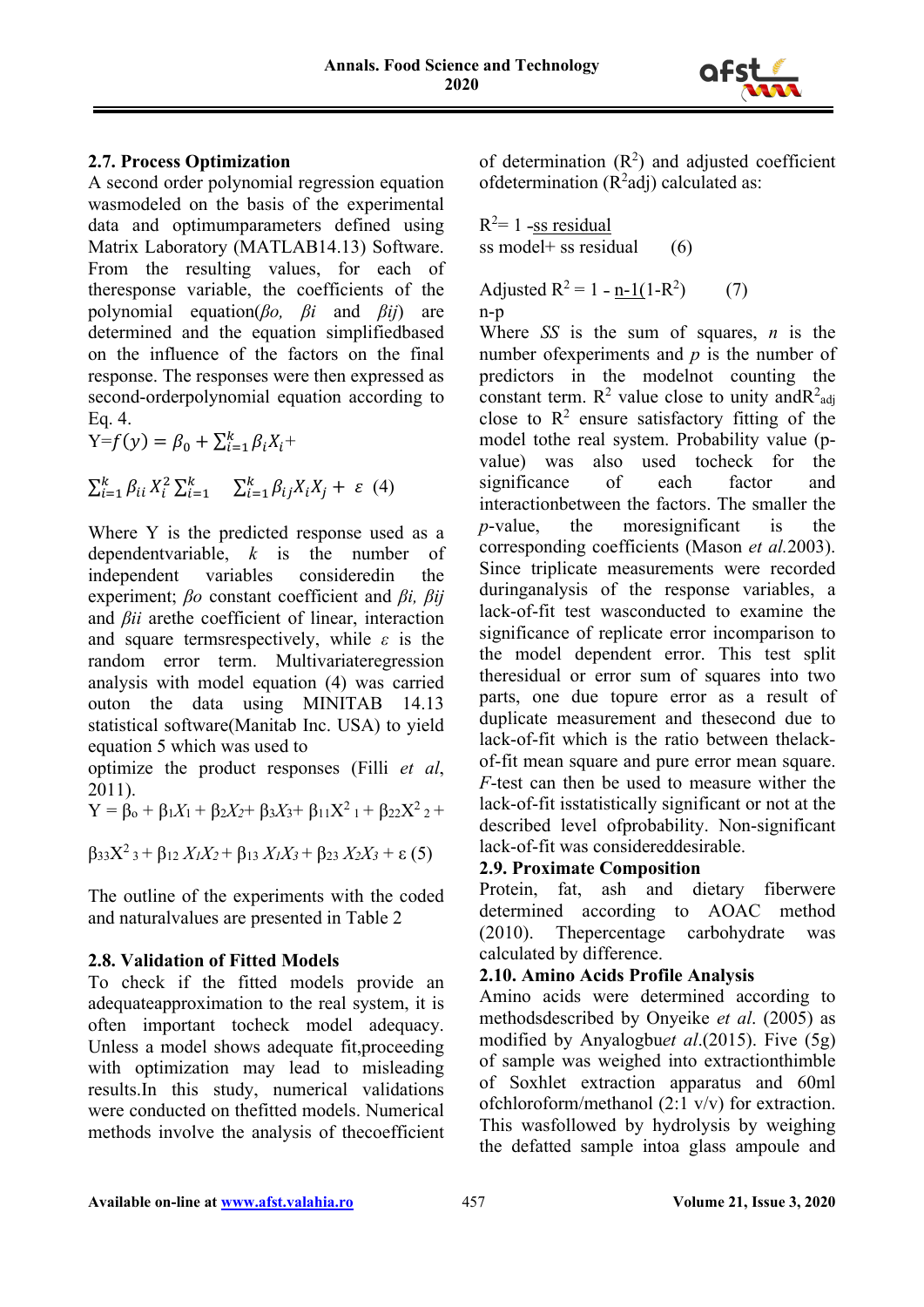

#### **2.7. Process Optimization**

A second order polynomial regression equation wasmodeled on the basis of the experimental data and optimumparameters defined using Matrix Laboratory (MATLAB14.13) Software. From the resulting values, for each of theresponse variable, the coefficients of the polynomial equation(*βo, βi* and *βij*) are determined and the equation simplifiedbased on the influence of the factors on the final response. The responses were then expressed as second-orderpolynomial equation according to Eq. 4.

 $Y=f(y) = \beta_0 + \sum_{i=1}^k \beta_i X_i +$ 

$$
\sum_{i=1}^{k} \beta_{ii} X_i^2 \sum_{i=1}^{k} \sum_{i=1}^{k} \beta_{ij} X_i X_j + \varepsilon
$$
 (4)

Where Y is the predicted response used as a dependentvariable, *k* is the number of independent variables consideredin the experiment; *βo* constant coefficient and *βi, βij*  and *βii* arethe coefficient of linear, interaction and square termsrespectively, while *ε* is the random error term. Multivariateregression analysis with model equation (4) was carried outon the data using MINITAB 14.13 statistical software(Manitab Inc. USA) to yield equation 5 which was used to

optimize the product responses (Filli *et al*, 2011).

 $Y = \beta_0 + \beta_1 X_1 + \beta_2 X_2 + \beta_3 X_3 + \beta_{11} X^2 + \beta_{22} X^2 +$ 

$$
\beta_{33}X^2{}_3 + \beta_{12} X_1X_2 + \beta_{13} X_1X_3 + \beta_{23} X_2X_3 + \varepsilon(5)
$$

The outline of the experiments with the coded and naturalvalues are presented in Table 2

# **2.8. Validation of Fitted Models**

To check if the fitted models provide an adequateapproximation to the real system, it is often important tocheck model adequacy. Unless a model shows adequate fit,proceeding with optimization may lead to misleading results.In this study, numerical validations were conducted on thefitted models. Numerical methods involve the analysis of thecoefficient of determination  $(R^2)$  and adjusted coefficient of determination  $(R^2$ adj) calculated as:

 $R^2$ = 1 -ss residual ss model + ss residual  $(6)$ 

Adjusted  $R^2 = 1 - n-1(1-R^2)$ ) (7) n-p

Where *SS* is the sum of squares, *n* is the number ofexperiments and *p* is the number of predictors in the modelnot counting the constant term.  $R^2$  value close to unity and  $R^2$ <sub>adj</sub> close to  $\mathbb{R}^2$  ensure satisfactory fitting of the model tothe real system. Probability value (pvalue) was also used tocheck for the significance of each factor and interactionbetween the factors. The smaller the *p*-value, the moresignificant is the corresponding coefficients (Mason *et al.*2003). Since triplicate measurements were recorded duringanalysis of the response variables, a lack-of-fit test wasconducted to examine the significance of replicate error incomparison to the model dependent error. This test split theresidual or error sum of squares into two parts, one due topure error as a result of duplicate measurement and thesecond due to lack-of-fit which is the ratio between thelackof-fit mean square and pure error mean square. *F*-test can then be used to measure wither the lack-of-fit isstatistically significant or not at the described level of probability. Non-significant lack-of-fit was considereddesirable.

# **2.9. Proximate Composition**

Protein, fat, ash and dietary fiberwere determined according to AOAC method (2010). Thepercentage carbohydrate was calculated by difference.

# **2.10. Amino Acids Profile Analysis**

Amino acids were determined according to methodsdescribed by Onyeike *et al*. (2005) as modified by Anyalogbu*et al*.(2015). Five (5g) of sample was weighed into extractionthimble of Soxhlet extraction apparatus and 60ml ofchloroform/methanol (2:1 v/v) for extraction. This wasfollowed by hydrolysis by weighing the defatted sample intoa glass ampoule and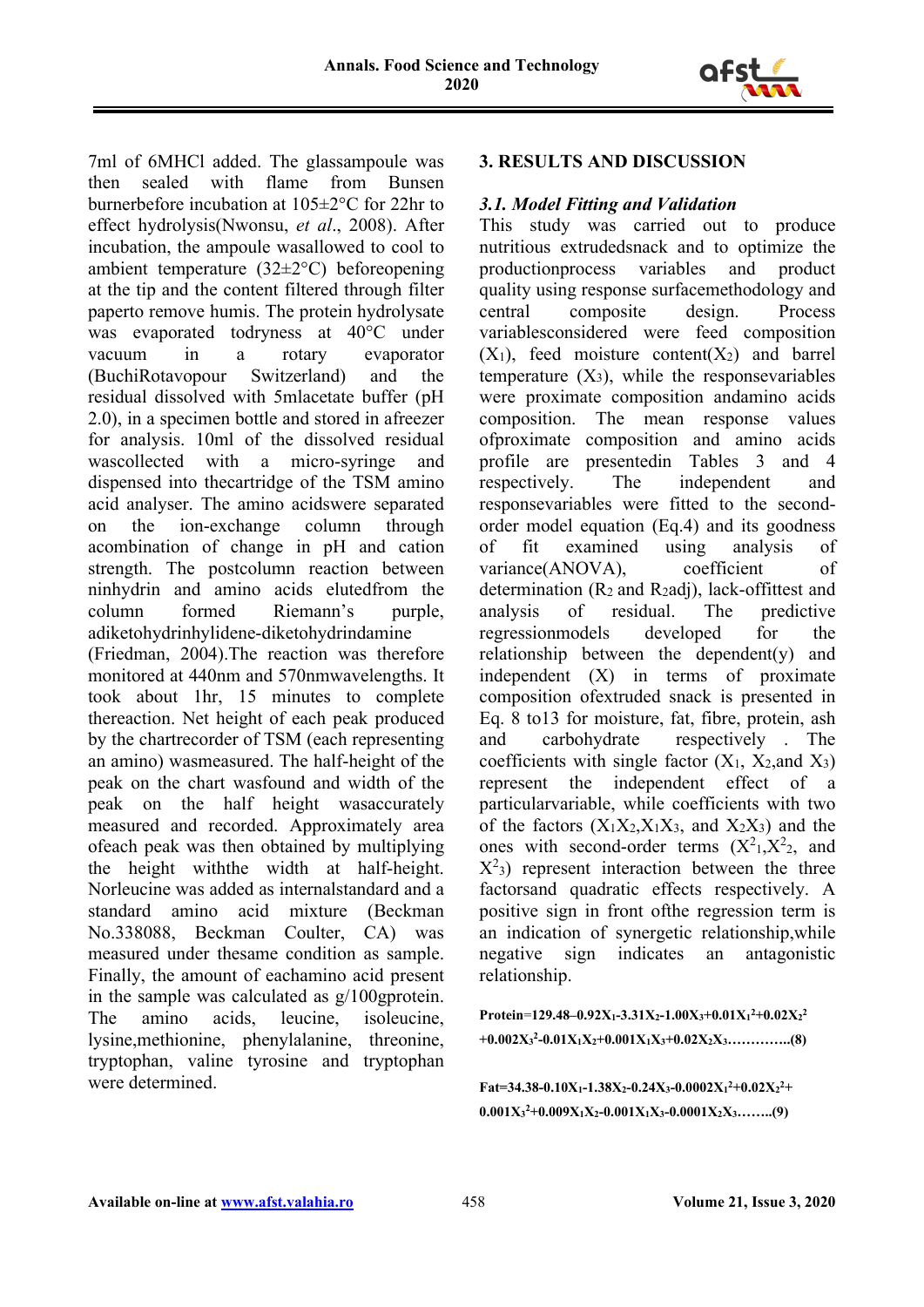

7ml of 6MHCl added. The glassampoule was then sealed with flame from Bunsen burnerbefore incubation at 105±2°C for 22hr to effect hydrolysis(Nwonsu, *et al*., 2008). After incubation, the ampoule wasallowed to cool to ambient temperature (32±2°C) beforeopening at the tip and the content filtered through filter paperto remove humis. The protein hydrolysate was evaporated todryness at 40°C under vacuum in a rotary evaporator (BuchiRotavopour Switzerland) and the residual dissolved with 5mlacetate buffer (pH 2.0), in a specimen bottle and stored in afreezer for analysis. 10ml of the dissolved residual wascollected with a micro-syringe and dispensed into thecartridge of the TSM amino acid analyser. The amino acidswere separated on the ion-exchange column through acombination of change in pH and cation strength. The postcolumn reaction between ninhydrin and amino acids elutedfrom the column formed Riemann's purple, adiketohydrinhylidene-diketohydrindamine (Friedman, 2004).The reaction was therefore monitored at 440nm and 570nmwavelengths. It took about 1hr, 15 minutes to complete thereaction. Net height of each peak produced by the chartrecorder of TSM (each representing an amino) wasmeasured. The half-height of the peak on the chart wasfound and width of the peak on the half height wasaccurately measured and recorded. Approximately area ofeach peak was then obtained by multiplying the height withthe width at half-height. Norleucine was added as internalstandard and a standard amino acid mixture (Beckman No.338088, Beckman Coulter, CA) was measured under thesame condition as sample. Finally, the amount of eachamino acid present in the sample was calculated as  $g/100$ gprotein. The amino acids, leucine, isoleucine, lysine,methionine, phenylalanine, threonine, tryptophan, valine tyrosine and tryptophan were determined.

# **3. RESULTS AND DISCUSSION**

#### *3.1. Model Fitting and Validation*

This study was carried out to produce nutritious extrudedsnack and to optimize the productionprocess variables and product quality using response surfacemethodology and central composite design. Process variablesconsidered were feed composition  $(X_1)$ , feed moisture content $(X_2)$  and barrel temperature  $(X_3)$ , while the responsevariables were proximate composition andamino acids composition. The mean response values ofproximate composition and amino acids profile are presentedin Tables 3 and 4 respectively. The independent and responsevariables were fitted to the secondorder model equation (Eq.4) and its goodness of fit examined using analysis of variance(ANOVA), coefficient of determination (R2 and R2adj), lack-offittest and analysis of residual. The predictive regressionmodels developed for the relationship between the dependent(y) and independent (X) in terms of proximate composition ofextruded snack is presented in Eq. 8 to13 for moisture, fat, fibre, protein, ash and carbohydrate respectively . The coefficients with single factor  $(X_1, X_2, X_3)$ represent the independent effect of a particularvariable, while coefficients with two of the factors  $(X_1X_2, X_1X_3, X_1X_2, X_2X_3)$  and the ones with second-order terms  $(X^2)_1, X^2_2,$  and  $X^2$ <sub>3</sub>) represent interaction between the three factorsand quadratic effects respectively. A positive sign in front ofthe regression term is an indication of synergetic relationship,while negative sign indicates an antagonistic relationship.

**Protein**=**129.48–0.92X1-3.31X2-1.00X3+0.01X1 2 +0.02X2 2 +0.002X3 2-0.01X1X2+0.001X1X3+0.02X2X3…………..(8)**

**Fat=34.38-0.10X<sub>1</sub>-1.38X<sub>2</sub>-0.24X<sub>3</sub>-0.0002X<sub>1</sub><sup>2</sup>+0.02X<sub>2</sub><sup>2</sup>+**  $0.001X_3^2+0.009X_1X_2-0.001X_1X_3-0.0001X_2X_3........(9)$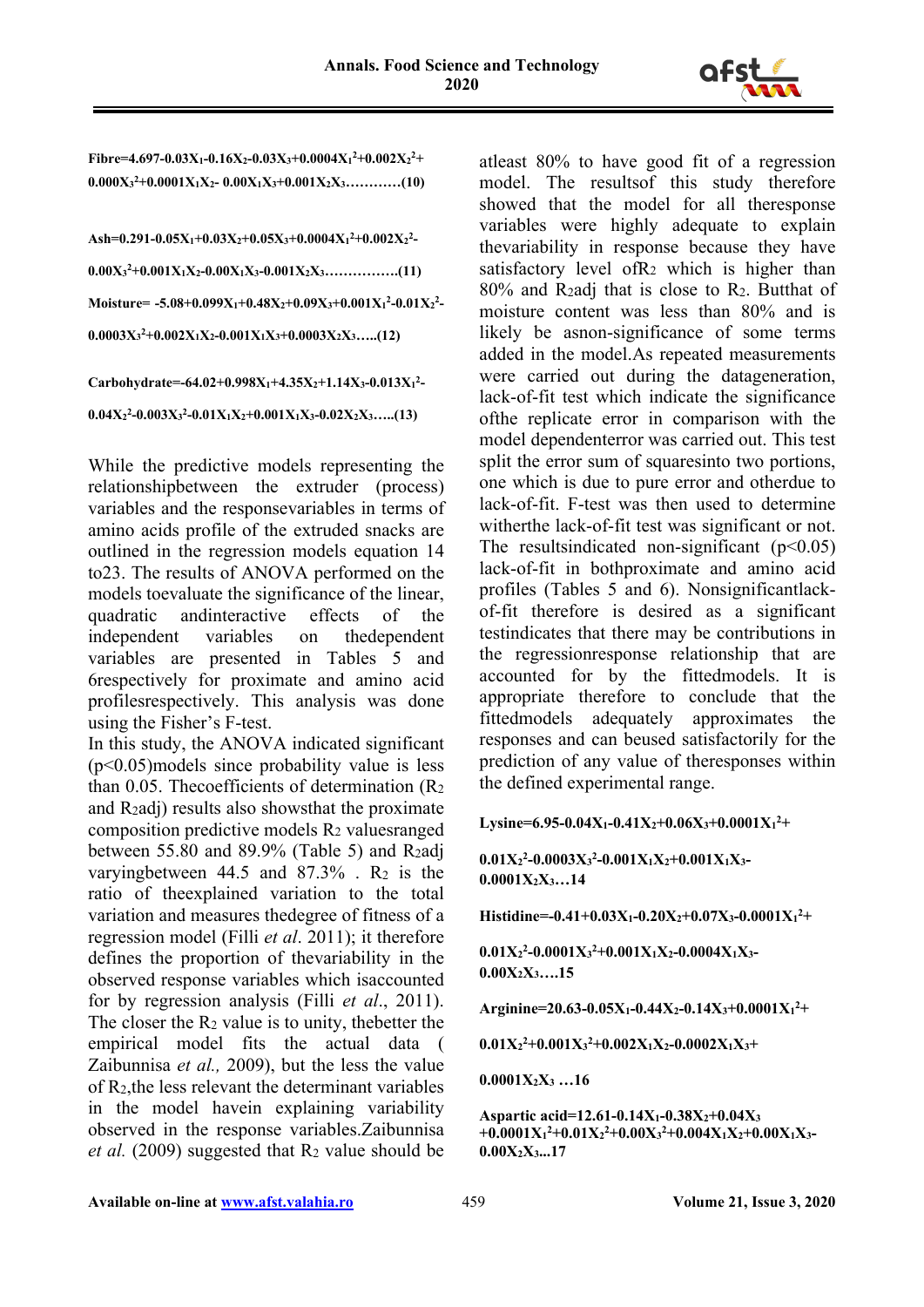

 ${\rm Fibre}$ =4.697-0.03X<sub>1</sub>-0.16X<sub>2</sub>-0.03X<sub>3</sub>+0.0004X<sub>1</sub><sup>2</sup>+0.002X<sub>2</sub><sup>2</sup>+ **0.000X3 2+0.0001X1X2- 0.00X1X3+0.001X2X3…………(10)**

```
Ash=0.291-0.05X1+0.03X2+0.05X3+0.0004X1
2+0.002X2
2-
0.00X3
2+0.001X1X2-0.00X1X3-0.001X2X3…………….(11)
Moisture= -5.08+0.099X1+0.48X2+0.09X3+0.001X1
2-0.01X2
2-
0.0003X3
2+0.002X1X2-0.001X1X3+0.0003X2X3…..(12)
```

```
Carbohydrate=-64.02+0.998X1+4.35X2+1.14X3-0.013X1
2-
0.04X2
2-0.003X3
2-0.01X1X2+0.001X1X3-0.02X2X3…..(13)
```
While the predictive models representing the relationshipbetween the extruder (process) variables and the responsevariables in terms of amino acids profile of the extruded snacks are outlined in the regression models equation 14 to23. The results of ANOVA performed on the models toevaluate the significance of the linear, quadratic andinteractive effects of the independent variables on thedependent variables are presented in Tables 5 and 6respectively for proximate and amino acid profilesrespectively. This analysis was done using the Fisher's F-test.

In this study, the ANOVA indicated significant (p˂0.05)models since probability value is less than 0.05. Thecoefficients of determination (R2 and  $R<sub>2</sub>$ adi) results also showsthat the proximate composition predictive models R2 valuesranged between 55.80 and 89.9% (Table 5) and R2adj varying between 44.5 and  $87.3\%$ . R<sub>2</sub> is the ratio of theexplained variation to the total variation and measures thedegree of fitness of a regression model (Filli *et al*. 2011); it therefore defines the proportion of thevariability in the observed response variables which isaccounted for by regression analysis (Filli *et al*., 2011). The closer the  $R_2$  value is to unity, the better the empirical model fits the actual data ( Zaibunnisa *et al.,* 2009), but the less the value of R2,the less relevant the determinant variables in the model havein explaining variability observed in the response variables.Zaibunnisa *et al.* (2009) suggested that  $R_2$  value should be

atleast 80% to have good fit of a regression model. The resultsof this study therefore showed that the model for all theresponse variables were highly adequate to explain thevariability in response because they have satisfactory level of $R_2$  which is higher than 80% and R2adj that is close to R2. Butthat of moisture content was less than 80% and is likely be asnon-significance of some terms added in the model.As repeated measurements were carried out during the datageneration, lack-of-fit test which indicate the significance ofthe replicate error in comparison with the model dependenterror was carried out. This test split the error sum of squaresinto two portions, one which is due to pure error and otherdue to lack-of-fit. F-test was then used to determine witherthe lack-of-fit test was significant or not. The resultsindicated non-significant  $(p<0.05)$ lack-of-fit in bothproximate and amino acid profiles (Tables 5 and 6). Nonsignificantlackof-fit therefore is desired as a significant testindicates that there may be contributions in the regressionresponse relationship that are accounted for by the fittedmodels. It is appropriate therefore to conclude that the fittedmodels adequately approximates the responses and can beused satisfactorily for the prediction of any value of theresponses within the defined experimental range.

Lysine=6.95-0.04X<sub>1</sub>-0.41X<sub>2</sub>+0.06X<sub>3</sub>+0.0001X<sub>1</sub><sup>2</sup>+

**0.01X2 2 -0.0003X3 2 -0.001X1X2+0.001X1X3- 0.0001X2X3…14**

**Histidine=-0.41+0.03X1-0.20X2+0.07X3-0.0001X1 2 +**

**0.01X2 2 -0.0001X3 2 +0.001X1X2-0.0004X1X3- 0.00X2X3….15**

**Arginine=20.63-0.05X1-0.44X2-0.14X3+0.0001X1 2 +**

**0.01X2 2 +0.001X3 2 +0.002X1X2-0.0002X1X3+**

**0.0001X2X3 …16**

**Aspartic acid=12.61-0.14X1-0.38X2+0.04X3 +0.0001X1 2 +0.01X2 2 +0.00X3 2 +0.004X1X2+0.00X1X3- 0.00X2X3...17**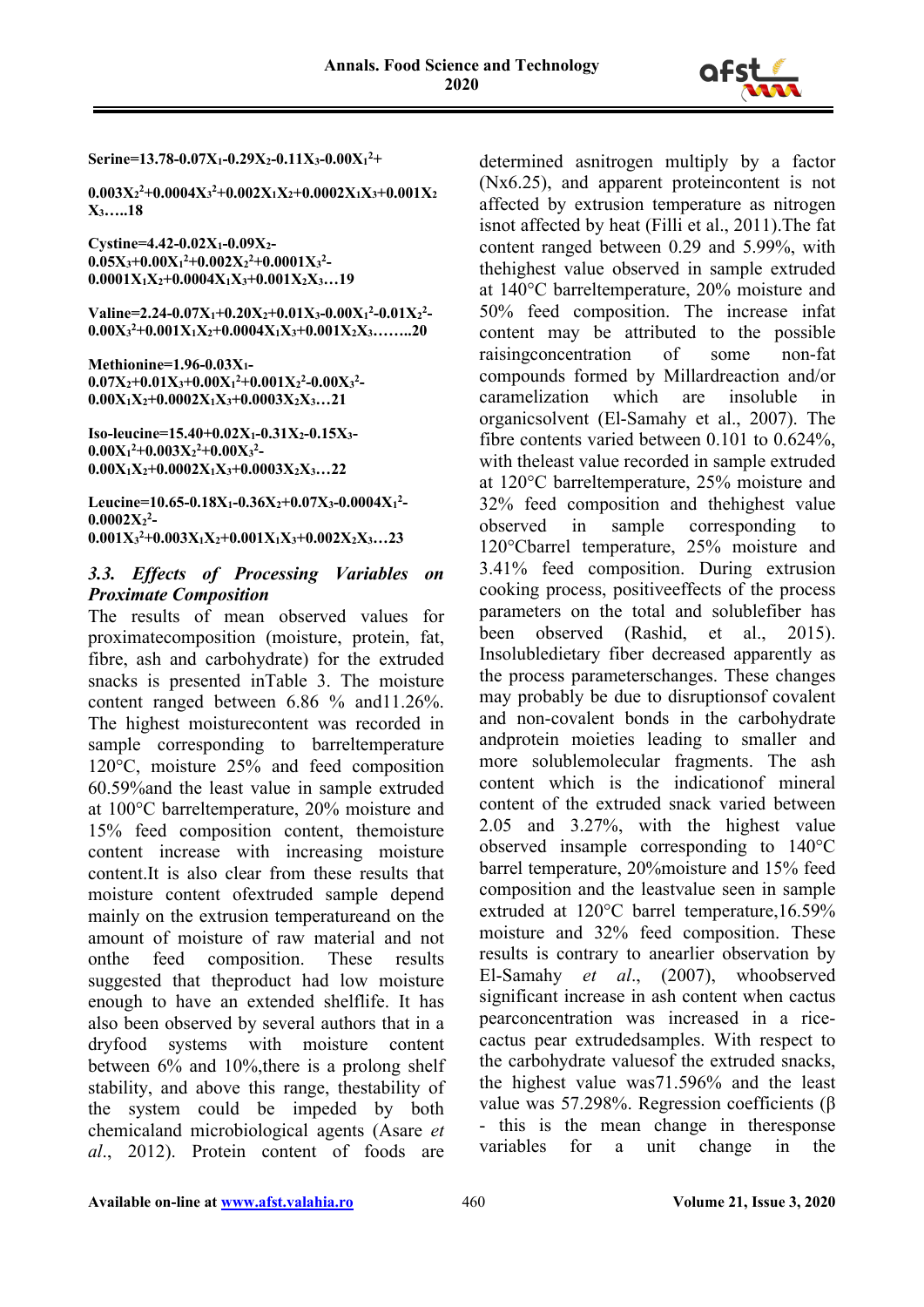

**Serine=13.78-0.07X1-0.29X2-0.11X3-0.00X1 2 +**

**0.003X2 2 +0.0004X3 2 +0.002X1X2+0.0002X1X3+0.001X2 X3…..18**

**Cystine=4.42-0.02X1-0.09X2-**  $0.05X_3+0.00X_1^2+0.002X_2^2+0.0001X_3^2$ **0.0001X1X2+0.0004X1X3+0.001X2X3…19**

**Valine=2.24-0.07X1+0.20X2+0.01X3-0.00X1 2 -0.01X2 2 - 0.00X3 2 +0.001X1X2+0.0004X1X3+0.001X2X3……..20**

**Methionine=1.96-0.03X1-**  $0.07X_2+0.01X_3+0.00X_1^2+0.001X_2^2-0.00X_3^2-$ **0.00X1X2+0.0002X1X3+0.0003X2X3…21**

**Iso-leucine=15.40+0.02X1-0.31X2-0.15X3-**  $0.00X_1^2+0.003X_2^2+0.00X_3^2$ **0.00X1X2+0.0002X1X3+0.0003X2X3…22**

Leucine=10.65-0.18X<sub>1</sub>-0.36X<sub>2</sub>+0.07X<sub>3</sub>-0.0004X<sub>1</sub><sup>2</sup>-**0.0002X2 2 - 0.001X3 2 +0.003X1X2+0.001X1X3+0.002X2X3…23**

#### *3.3. Effects of Processing Variables on Proximate Composition*

The results of mean observed values for proximatecomposition (moisture, protein, fat, fibre, ash and carbohydrate) for the extruded snacks is presented inTable 3. The moisture content ranged between 6.86 % and11.26%. The highest moisturecontent was recorded in sample corresponding to barreltemperature 120°C, moisture 25% and feed composition 60.59%and the least value in sample extruded at 100°C barreltemperature, 20% moisture and 15% feed composition content, themoisture content increase with increasing moisture content.It is also clear from these results that moisture content ofextruded sample depend mainly on the extrusion temperatureand on the amount of moisture of raw material and not onthe feed composition. These results suggested that theproduct had low moisture enough to have an extended shelflife. It has also been observed by several authors that in a dryfood systems with moisture content between 6% and 10%,there is a prolong shelf stability, and above this range, thestability of the system could be impeded by both chemicaland microbiological agents (Asare *et al*., 2012). Protein content of foods are

determined asnitrogen multiply by a factor (Nx6.25), and apparent proteincontent is not affected by extrusion temperature as nitrogen isnot affected by heat (Filli et al., 2011).The fat content ranged between 0.29 and 5.99%, with thehighest value observed in sample extruded at 140°C barreltemperature, 20% moisture and 50% feed composition. The increase infat content may be attributed to the possible raisingconcentration of some non-fat compounds formed by Millardreaction and/or caramelization which are insoluble organicsolvent (El-Samahy et al., 2007). The fibre contents varied between 0.101 to 0.624%, with theleast value recorded in sample extruded at 120°C barreltemperature, 25% moisture and 32% feed composition and thehighest value observed in sample corresponding to 120°Cbarrel temperature, 25% moisture and 3.41% feed composition. During extrusion cooking process, positiveeffects of the process parameters on the total and solublefiber has been observed (Rashid, et al., 2015). Insolubledietary fiber decreased apparently as the process parameterschanges. These changes may probably be due to disruptionsof covalent and non-covalent bonds in the carbohydrate andprotein moieties leading to smaller and more solublemolecular fragments. The ash content which is the indicationof mineral content of the extruded snack varied between 2.05 and 3.27%, with the highest value observed insample corresponding to 140°C barrel temperature, 20%moisture and 15% feed composition and the leastvalue seen in sample extruded at 120°C barrel temperature,16.59% moisture and 32% feed composition. These results is contrary to anearlier observation by El-Samahy *et al*., (2007), whoobserved significant increase in ash content when cactus pearconcentration was increased in a ricecactus pear extrudedsamples. With respect to the carbohydrate valuesof the extruded snacks, the highest value was71.596% and the least value was 57.298%. Regression coefficients (β - this is the mean change in theresponse variables for a unit change in the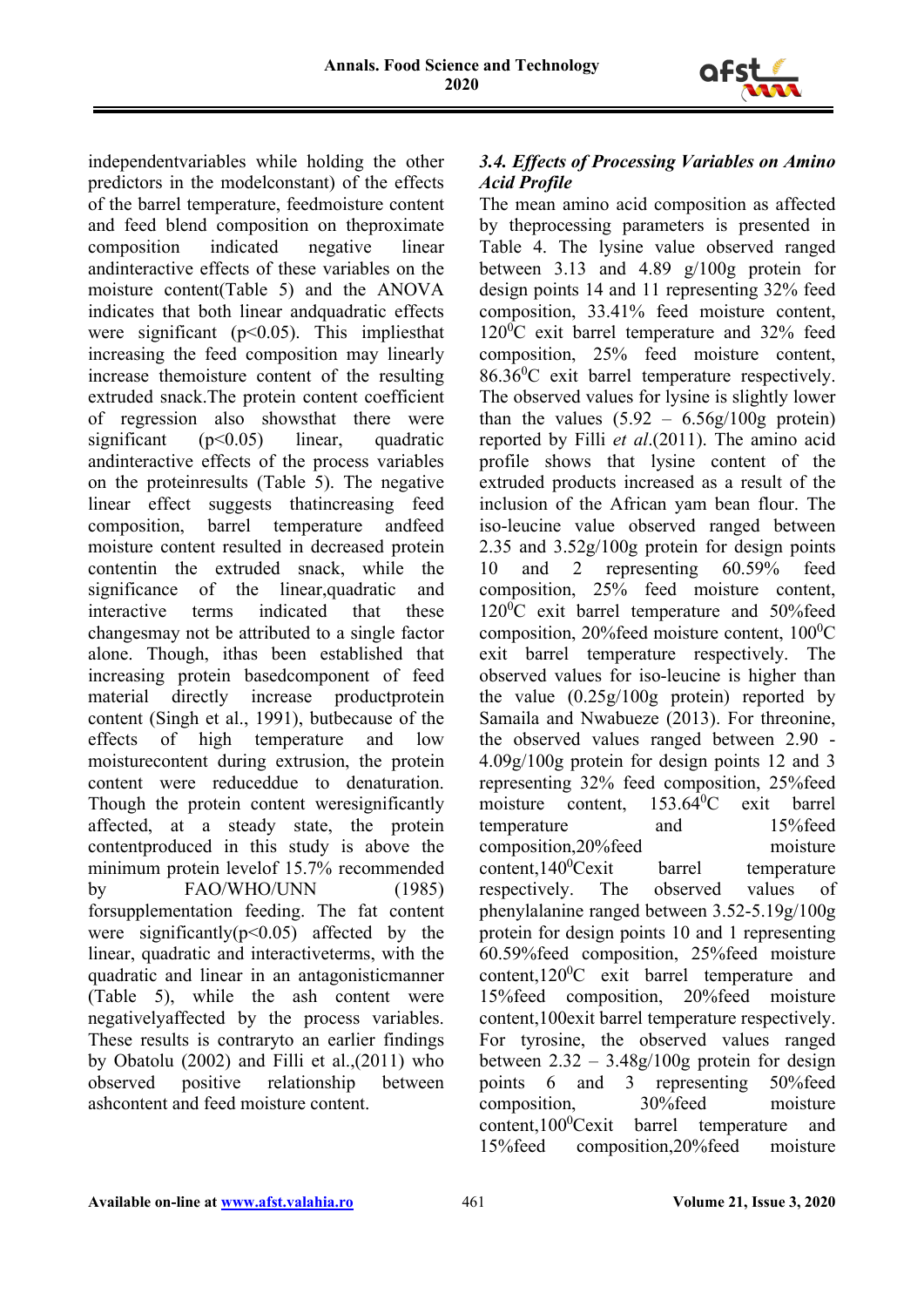

independentvariables while holding the other predictors in the modelconstant) of the effects of the barrel temperature, feedmoisture content and feed blend composition on theproximate composition indicated negative linear andinteractive effects of these variables on the moisture content(Table 5) and the ANOVA indicates that both linear andquadratic effects were significant (p˂0.05). This impliesthat increasing the feed composition may linearly increase themoisture content of the resulting extruded snack.The protein content coefficient of regression also showsthat there were significant  $(p<0.05)$  linear, quadratic andinteractive effects of the process variables on the proteinresults (Table 5). The negative linear effect suggests thatincreasing feed composition, barrel temperature andfeed moisture content resulted in decreased protein contentin the extruded snack, while the significance of the linear, quadratic and interactive terms indicated that these changesmay not be attributed to a single factor alone. Though, ithas been established that increasing protein basedcomponent of feed material directly increase productprotein content (Singh et al., 1991), butbecause of the effects of high temperature and low moisturecontent during extrusion, the protein content were reduceddue to denaturation. Though the protein content weresignificantly affected, at a steady state, the protein contentproduced in this study is above the minimum protein levelof 15.7% recommended by FAO/WHO/UNN (1985) forsupplementation feeding. The fat content were significantly( $p \le 0.05$ ) affected by the linear, quadratic and interactiveterms, with the quadratic and linear in an antagonisticmanner (Table 5), while the ash content were negativelyaffected by the process variables. These results is contraryto an earlier findings by Obatolu (2002) and Filli et al.,(2011) who observed positive relationship between ashcontent and feed moisture content.

# *3.4. Effects of Processing Variables on Amino Acid Profile*

The mean amino acid composition as affected by theprocessing parameters is presented in Table 4. The lysine value observed ranged between 3.13 and 4.89 g/100g protein for design points 14 and 11 representing 32% feed composition, 33.41% feed moisture content, 120<sup>0</sup>C exit barrel temperature and 32% feed composition, 25% feed moisture content, 86.36<sup>0</sup> C exit barrel temperature respectively. The observed values for lysine is slightly lower than the values  $(5.92 - 6.56g/100g)$  protein) reported by Filli *et al*.(2011). The amino acid profile shows that lysine content of the extruded products increased as a result of the inclusion of the African yam bean flour. The iso-leucine value observed ranged between 2.35 and 3.52g/100g protein for design points 10 and 2 representing 60.59% feed composition, 25% feed moisture content, 120<sup>0</sup>C exit barrel temperature and 50%feed composition, 20% feed moisture content,  $100^0C$ exit barrel temperature respectively. The observed values for iso-leucine is higher than the value (0.25g/100g protein) reported by Samaila and Nwabueze (2013). For threonine, the observed values ranged between 2.90 - 4.09g/100g protein for design points 12 and 3 representing 32% feed composition, 25%feed moisture content,  $153.64^{\circ}$ C exit barrel temperature and 15%feed composition,20%feed moisture content,  $140^0$ Cexit barrel temperature respectively. The observed values of phenylalanine ranged between 3.52-5.19g/100g protein for design points 10 and 1 representing 60.59%feed composition, 25%feed moisture content,  $120^0$ C exit barrel temperature and 15%feed composition, 20%feed moisture content,100exit barrel temperature respectively. For tyrosine, the observed values ranged between  $2.32 - 3.48g/100g$  protein for design points 6 and 3 representing 50%feed composition, 30%feed moisture content,100<sup>0</sup>Cexit barrel temperature and 15%feed composition,20%feed moisture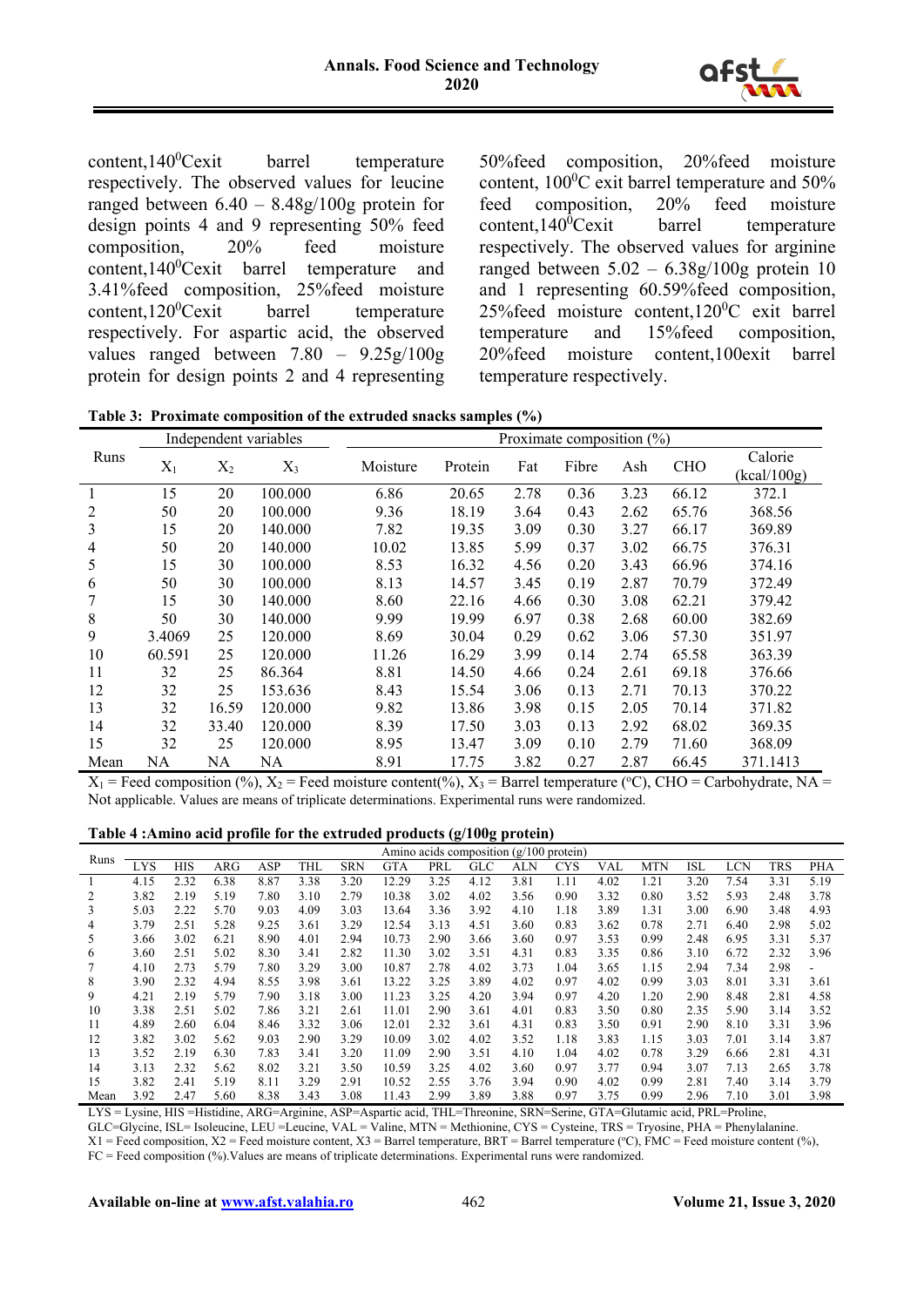

content, $140^0$ Cexit barrel temperature respectively. The observed values for leucine ranged between  $6.40 - 8.48g/100g$  protein for design points 4 and 9 representing 50% feed composition, 20% feed moisture content, 140<sup>0</sup>Cexit barrel temperature and 3.41%feed composition, 25%feed moisture content, $120^0$ Cexit barrel temperature respectively. For aspartic acid, the observed values ranged between 7.80 – 9.25g/100g protein for design points 2 and 4 representing

50%feed composition, 20%feed moisture content,  $100^0$ C exit barrel temperature and 50% feed composition, 20% feed moisture content, $140^0$ Cexit barrel temperature respectively. The observed values for arginine ranged between  $5.02 - 6.38g/100g$  protein 10 and 1 representing 60.59%feed composition,  $25\%$ feed moisture content,120<sup>0</sup>C exit barrel temperature and 15%feed composition, 20%feed moisture content,100exit barrel temperature respectively.

|  |  |  |  | Table 3: Proximate composition of the extruded snacks samples (%) |  |
|--|--|--|--|-------------------------------------------------------------------|--|
|--|--|--|--|-------------------------------------------------------------------|--|

|                |        |       | Independent variables |          | Proximate composition $(\%)$ |      |       |      |            |                        |  |  |  |
|----------------|--------|-------|-----------------------|----------|------------------------------|------|-------|------|------------|------------------------|--|--|--|
| Runs           | $X_1$  | $X_2$ | $X_3$                 | Moisture | Protein                      | Fat  | Fibre | Ash  | <b>CHO</b> | Calorie<br>(kcal/100g) |  |  |  |
|                | 15     | 20    | 100.000               | 6.86     | 20.65                        | 2.78 | 0.36  | 3.23 | 66.12      | 372.1                  |  |  |  |
| 2              | 50     | 20    | 100.000               | 9.36     | 18.19                        | 3.64 | 0.43  | 2.62 | 65.76      | 368.56                 |  |  |  |
| 3              | 15     | 20    | 140.000               | 7.82     | 19.35                        | 3.09 | 0.30  | 3.27 | 66.17      | 369.89                 |  |  |  |
| $\overline{4}$ | 50     | 20    | 140.000               | 10.02    | 13.85                        | 5.99 | 0.37  | 3.02 | 66.75      | 376.31                 |  |  |  |
| 5              | 15     | 30    | 100.000               | 8.53     | 16.32                        | 4.56 | 0.20  | 3.43 | 66.96      | 374.16                 |  |  |  |
| 6              | 50     | 30    | 100.000               | 8.13     | 14.57                        | 3.45 | 0.19  | 2.87 | 70.79      | 372.49                 |  |  |  |
|                | 15     | 30    | 140.000               | 8.60     | 22.16                        | 4.66 | 0.30  | 3.08 | 62.21      | 379.42                 |  |  |  |
| 8              | 50     | 30    | 140.000               | 9.99     | 19.99                        | 6.97 | 0.38  | 2.68 | 60.00      | 382.69                 |  |  |  |
| 9              | 3.4069 | 25    | 120.000               | 8.69     | 30.04                        | 0.29 | 0.62  | 3.06 | 57.30      | 351.97                 |  |  |  |
| 10             | 60.591 | 25    | 120.000               | 11.26    | 16.29                        | 3.99 | 0.14  | 2.74 | 65.58      | 363.39                 |  |  |  |
| 11             | 32     | 25    | 86.364                | 8.81     | 14.50                        | 4.66 | 0.24  | 2.61 | 69.18      | 376.66                 |  |  |  |
| 12             | 32     | 25    | 153.636               | 8.43     | 15.54                        | 3.06 | 0.13  | 2.71 | 70.13      | 370.22                 |  |  |  |
| 13             | 32     | 16.59 | 120.000               | 9.82     | 13.86                        | 3.98 | 0.15  | 2.05 | 70.14      | 371.82                 |  |  |  |
| 14             | 32     | 33.40 | 120.000               | 8.39     | 17.50                        | 3.03 | 0.13  | 2.92 | 68.02      | 369.35                 |  |  |  |
| 15             | 32     | 25    | 120.000               | 8.95     | 13.47                        | 3.09 | 0.10  | 2.79 | 71.60      | 368.09                 |  |  |  |
| Mean           | NA     | NA    | <b>NA</b>             | 8.91     | 17.75                        | 3.82 | 0.27  | 2.87 | 66.45      | 371.1413               |  |  |  |

 $X_1$  = Feed composition (%),  $X_2$  = Feed moisture content(%),  $X_3$  = Barrel temperature (°C), CHO = Carbohydrate, NA = Not applicable. Values are means of triplicate determinations. Experimental runs were randomized.

#### **Table 4 :Amino acid profile for the extruded products (g/100g protein)**

|      | Amino acids composition $(g/100)$ protein) |            |            |      |            |            |            |      |      |      |            |      |            |      |            |      |            |
|------|--------------------------------------------|------------|------------|------|------------|------------|------------|------|------|------|------------|------|------------|------|------------|------|------------|
| Runs | LYS                                        | <b>HIS</b> | <b>ARG</b> | ASP  | <b>THL</b> | <b>SRN</b> | <b>GTA</b> | PRL  | GLC  | ALN  | <b>CYS</b> | VAL  | <b>MTN</b> | ISL  | <b>LCN</b> | TRS  | <b>PHA</b> |
|      | 4.15                                       | 2.32       | 6.38       | 8.87 | 3.38       | 3.20       | 12.29      | 3.25 | 4.12 | 3.81 | 1.11       | 4.02 | 1.21       | 3.20 | 7.54       | 3.31 | 5.19       |
| 2    | 3.82                                       | 2.19       | 5.19       | 7.80 | 3.10       | 2.79       | 10.38      | 3.02 | 4.02 | 3.56 | 0.90       | 3.32 | 0.80       | 3.52 | 5.93       | 2.48 | 3.78       |
| 3    | 5.03                                       | 2.22       | 5.70       | 9.03 | 4.09       | 3.03       | 13.64      | 3.36 | 3.92 | 4.10 | 1.18       | 3.89 | 1.31       | 3.00 | 6.90       | 3.48 | 4.93       |
| 4    | 3.79                                       | 2.51       | 5.28       | 9.25 | 3.61       | 3.29       | 12.54      | 3.13 | 4.51 | 3.60 | 0.83       | 3.62 | 0.78       | 2.71 | 6.40       | 2.98 | 5.02       |
| 5    | 3.66                                       | 3.02       | 6.21       | 8.90 | 4.01       | 2.94       | 10.73      | 2.90 | 3.66 | 3.60 | 0.97       | 3.53 | 0.99       | 2.48 | 6.95       | 3.31 | 5.37       |
| 6    | 3.60                                       | 2.51       | 5.02       | 8.30 | 3.41       | 2.82       | 11.30      | 3.02 | 3.51 | 4.31 | 0.83       | 3.35 | 0.86       | 3.10 | 6.72       | 2.32 | 3.96       |
| 7    | 4.10                                       | 2.73       | 5.79       | 7.80 | 3.29       | 3.00       | 10.87      | 2.78 | 4.02 | 3.73 | 1.04       | 3.65 | 1.15       | 2.94 | 7.34       | 2.98 |            |
| 8    | 3.90                                       | 2.32       | 4.94       | 8.55 | 3.98       | 3.61       | 13.22      | 3.25 | 3.89 | 4.02 | 0.97       | 4.02 | 0.99       | 3.03 | 8.01       | 3.31 | 3.61       |
| 9    | 4.21                                       | 2.19       | 5.79       | 7.90 | 3.18       | 3.00       | 11.23      | 3.25 | 4.20 | 3.94 | 0.97       | 4.20 | 1.20       | 2.90 | 8.48       | 2.81 | 4.58       |
| 10   | 3.38                                       | 2.51       | 5.02       | 7.86 | 3.21       | 2.61       | 11.01      | 2.90 | 3.61 | 4.01 | 0.83       | 3.50 | 0.80       | 2.35 | 5.90       | 3.14 | 3.52       |
| 11   | 4.89                                       | 2.60       | 6.04       | 8.46 | 3.32       | 3.06       | 12.01      | 2.32 | 3.61 | 4.31 | 0.83       | 3.50 | 0.91       | 2.90 | 8.10       | 3.31 | 3.96       |
| 12   | 3.82                                       | 3.02       | 5.62       | 9.03 | 2.90       | 3.29       | 10.09      | 3.02 | 4.02 | 3.52 | 1.18       | 3.83 | 1.15       | 3.03 | 7.01       | 3.14 | 3.87       |
| 13   | 3.52                                       | 2.19       | 6.30       | 7.83 | 3.41       | 3.20       | 11.09      | 2.90 | 3.51 | 4.10 | 1.04       | 4.02 | 0.78       | 3.29 | 6.66       | 2.81 | 4.31       |
| 14   | 3.13                                       | 2.32       | 5.62       | 8.02 | 3.21       | 3.50       | 10.59      | 3.25 | 4.02 | 3.60 | 0.97       | 3.77 | 0.94       | 3.07 | 7.13       | 2.65 | 3.78       |
| 15   | 3.82                                       | 2.41       | 5.19       | 8.11 | 3.29       | 2.91       | 10.52      | 2.55 | 3.76 | 3.94 | 0.90       | 4.02 | 0.99       | 2.81 | 7.40       | 3.14 | 3.79       |
| Mean | 3.92                                       | 2.47       | 5.60       | 8.38 | 3.43       | 3.08       | 11.43      | 2.99 | 3.89 | 3.88 | 0.97       | 3.75 | 0.99       | 2.96 | 7.10       | 3.01 | 3.98       |

LYS = Lysine, HIS =Histidine, ARG=Arginine, ASP=Aspartic acid, THL=Threonine, SRN=Serine, GTA=Glutamic acid, PRL=Proline,

GLC=Glycine, ISL= Isoleucine, LEU =Leucine, VAL = Valine, MTN = Methionine, CYS = Cysteine, TRS = Tryosine, PHA = Phenylalanine.

FC = Feed composition (%).Values are means of triplicate determinations. Experimental runs were randomized.

 $X1 =$  Feed composition,  $X2 =$  Feed moisture content,  $X3 =$  Barrel temperature, BRT = Barrel temperature (°C), FMC = Feed moisture content (%),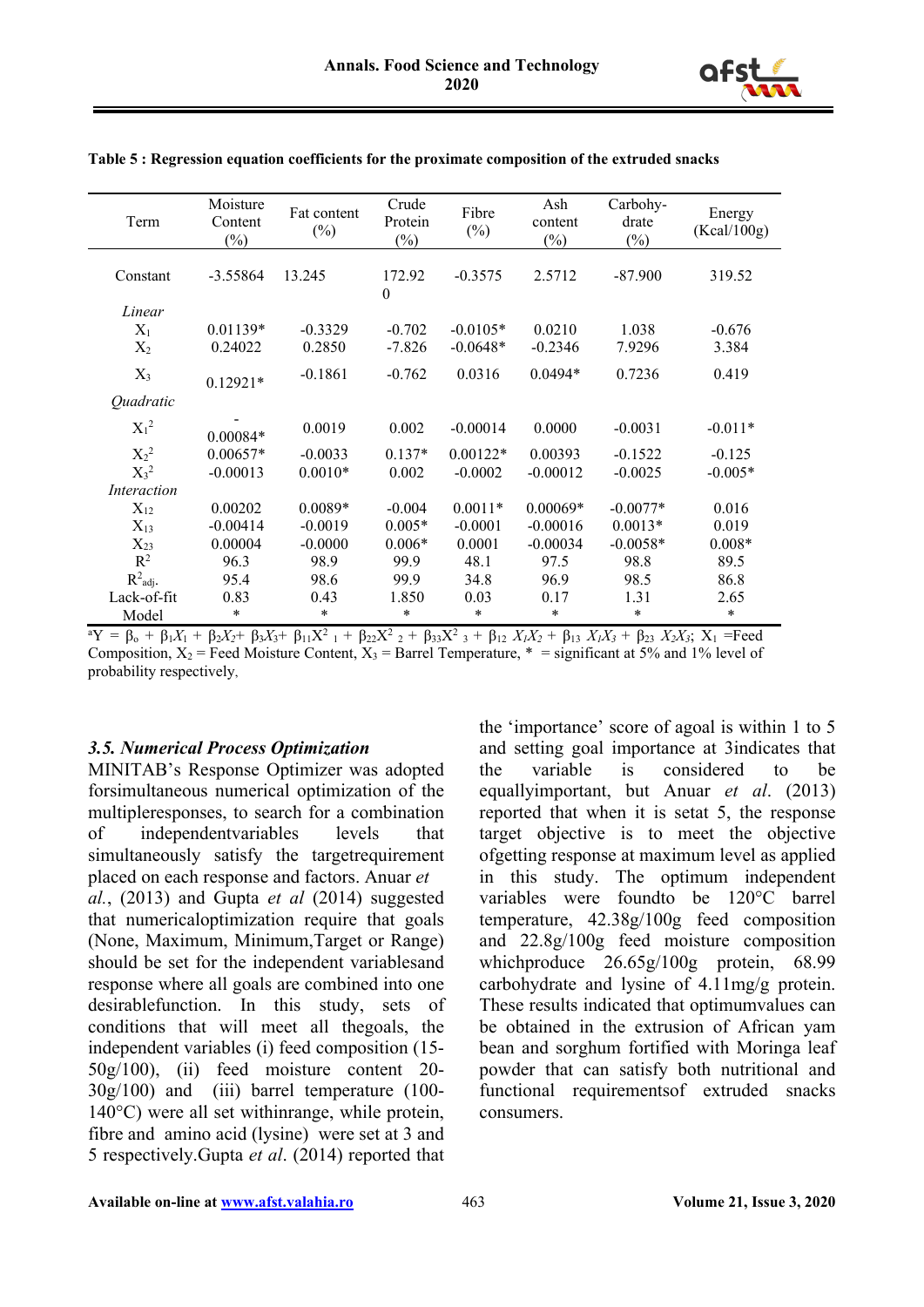

| Term                 | Moisture<br>Content<br>$(\%)$ | Fat content<br>$(\%)$ | Crude<br>Protein<br>$(\%)$ | Fibre<br>$(\%)$ | Ash<br>content<br>$(\%)$ | Carbohy-<br>drate<br>$(\%)$ | Energy<br>(Kcal/100g) |
|----------------------|-------------------------------|-----------------------|----------------------------|-----------------|--------------------------|-----------------------------|-----------------------|
| Constant             | $-3.55864$                    | 13.245                | 172.92<br>$\mathbf{0}$     | $-0.3575$       | 2.5712                   | $-87.900$                   | 319.52                |
| Linear               |                               |                       |                            |                 |                          |                             |                       |
| $X_1$                | $0.01139*$                    | $-0.3329$             | $-0.702$                   | $-0.0105*$      | 0.0210                   | 1.038                       | $-0.676$              |
| $X_2$                | 0.24022                       | 0.2850                | $-7.826$                   | $-0.0648*$      | $-0.2346$                | 7.9296                      | 3.384                 |
| $X_3$                | $0.12921*$                    | $-0.1861$             | $-0.762$                   | 0.0316          | $0.0494*$                | 0.7236                      | 0.419                 |
| Quadratic            |                               |                       |                            |                 |                          |                             |                       |
| $X_1^2$              | $0.00084*$                    | 0.0019                | 0.002                      | $-0.00014$      | 0.0000                   | $-0.0031$                   | $-0.011*$             |
| $X_2^2$              | $0.00657*$                    | $-0.0033$             | $0.137*$                   | $0.00122*$      | 0.00393                  | $-0.1522$                   | $-0.125$              |
| $X_3^2$              | $-0.00013$                    | $0.0010*$             | 0.002                      | $-0.0002$       | $-0.00012$               | $-0.0025$                   | $-0.005*$             |
| <i>Interaction</i>   |                               |                       |                            |                 |                          |                             |                       |
| $X_{12}$             | 0.00202                       | $0.0089*$             | $-0.004$                   | $0.0011*$       | $0.00069*$               | $-0.0077*$                  | 0.016                 |
| $X_{13}$             | $-0.00414$                    | $-0.0019$             | $0.005*$                   | $-0.0001$       | $-0.00016$               | $0.0013*$                   | 0.019                 |
| $X_{23}$             | 0.00004                       | $-0.0000$             | $0.006*$                   | 0.0001          | $-0.00034$               | $-0.0058*$                  | $0.008*$              |
| $R^2$                | 96.3                          | 98.9                  | 99.9                       | 48.1            | 97.5                     | 98.8                        | 89.5                  |
| $R^2_{\text{adj}}$ . | 95.4                          | 98.6                  | 99.9                       | 34.8            | 96.9                     | 98.5                        | 86.8                  |
| Lack-of-fit          | 0.83                          | 0.43                  | 1.850                      | 0.03            | 0.17                     | 1.31                        | 2.65                  |
| Model                | *                             | $\ast$                | $\ast$                     | *               | $\ast$                   | *                           | $\ast$                |

**Table 5 : Regression equation coefficients for the proximate composition of the extruded snacks**

 ${}^{\circ}Y = \beta_0 + \beta_1X_1 + \beta_2X_2 + \beta_3X_3 + \beta_{11}X^2 + \beta_{22}X^2 + \beta_{33}X^2 + \beta_{12}X_1X_2 + \beta_{13}X_1X_3 + \beta_{23}X_2X_3$ ; X<sub>1</sub> = Feed Composition,  $X_2$  = Feed Moisture Content,  $X_3$  = Barrel Temperature,  $*$  = significant at 5% and 1% level of probability respectively,

#### *3.5. Numerical Process Optimization*

MINITAB's Response Optimizer was adopted forsimultaneous numerical optimization of the multipleresponses, to search for a combination of independentvariables levels that simultaneously satisfy the targetrequirement placed on each response and factors. Anuar *et al.*, (2013) and Gupta *et al* (2014) suggested that numericaloptimization require that goals (None, Maximum, Minimum,Target or Range) should be set for the independent variablesand response where all goals are combined into one desirablefunction. In this study, sets of conditions that will meet all thegoals, the independent variables (i) feed composition (15- 50g/100), (ii) feed moisture content 20- 30g/100) and (iii) barrel temperature (100- 140°C) were all set withinrange, while protein, fibre and amino acid (lysine) were set at 3 and 5 respectively.Gupta *et al*. (2014) reported that

the 'importance' score of agoal is within 1 to 5 and setting goal importance at 3indicates that the variable is considered to be equallyimportant, but Anuar *et al*. (2013) reported that when it is setat 5, the response target objective is to meet the objective ofgetting response at maximum level as applied in this study. The optimum independent variables were foundto be 120°C barrel temperature, 42.38g/100g feed composition and 22.8g/100g feed moisture composition whichproduce  $26.65g/100g$  protein, 68.99 carbohydrate and lysine of 4.11mg/g protein. These results indicated that optimumvalues can be obtained in the extrusion of African yam bean and sorghum fortified with Moringa leaf powder that can satisfy both nutritional and functional requirementsof extruded snacks consumers.